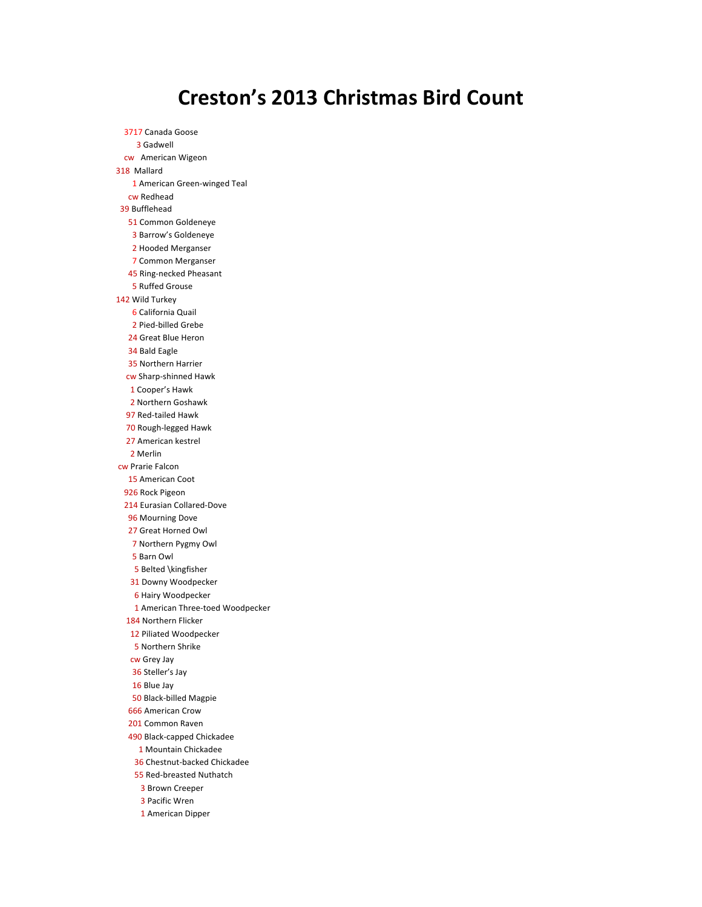## **Creston's 2013 Christmas Bird Count**

3717 Canada Goose Gadwell cw American Wigeon 318 Mallard American Green-winged Teal cw Redhead Bufflehead Common Goldeneye Barrow's Goldeneye Hooded Merganser Common Merganser Ring-necked Pheasant Ruffed Grouse Wild Turkey California Quail Pied-billed Grebe Great Blue Heron Bald Eagle Northern Harrier cw Sharp-shinned Hawk Cooper's Hawk 2 Northern Goshawk Red-tailed Hawk Rough-legged Hawk American kestrel Merlin cw Prarie Falcon 15 American Coot Rock Pigeon Eurasian Collared-Dove Mourning Dove Great Horned Owl Northern Pygmy Owl Barn Owl Belted \kingfisher Downy Woodpecker Hairy Woodpecker 1 American Three-toed Woodpecker Northern Flicker Piliated Woodpecker Northern Shrike cw Grey Jay Steller's Jay Blue Jay Black-billed Magpie American Crow Common Raven Black-capped Chickadee 1 Mountain Chickadee Chestnut-backed Chickadee Red-breasted Nuthatch Brown Creeper Pacific Wren 1 American Dipper